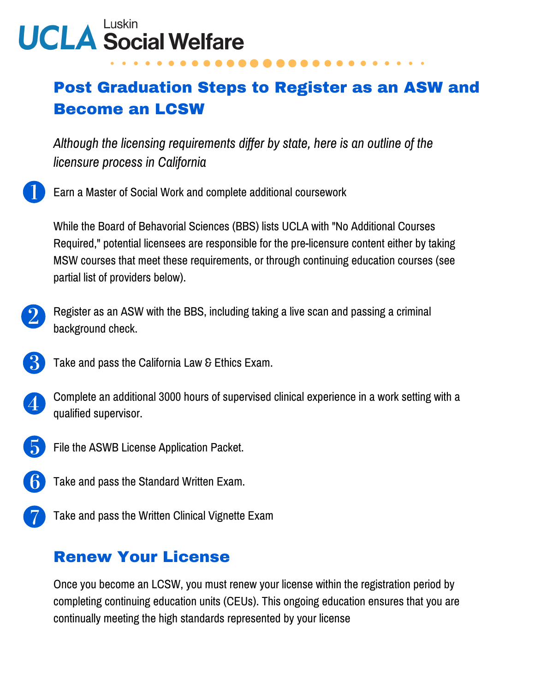# **UCLA Social Welfare**

## Post Graduation Steps to Register as an ASW and Become an LCSW

*Although the licensing requirements differ by state, here is an outline of the licensure process in California*



While the Board of Behavorial Sciences (BBS) lists UCLA with "No Additional Courses Required," potential licensees are responsible for the pre-licensure content either by taking MSW courses that meet these requirements, or through continuing education courses (see partial list of providers below).

- Register as an ASW with the BBS, including taking a live scan and passing a criminal background check.
	- Take and pass the California Law & Ethics Exam.



- File the ASWB License Application Packet.
- Take and pass the Standard Written Exam.
- Take and pass the Written Clinical Vignette Exam

### Renew Your License

Once you become an LCSW, you must renew your license within the registration period by completing continuing education units (CEUs). This ongoing education ensures that you are continually meeting the high standards represented by your license